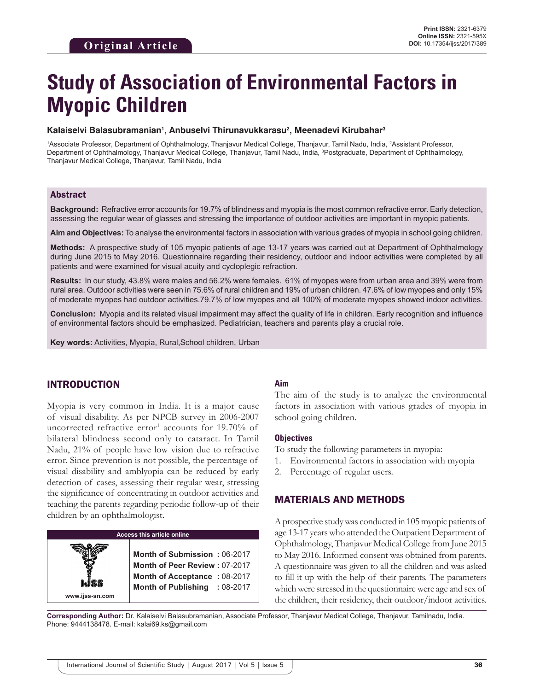# **Study of Association of Environmental Factors in Myopic Children**

#### **Kalaiselvi Balasubramanian1 , Anbuselvi Thirunavukkarasu2 , Meenadevi Kirubahar3**

<sup>1</sup>Associate Professor, Department of Ophthalmology, Thanjavur Medical College, Thanjavur, Tamil Nadu, India, <sup>2</sup>Assistant Professor, Department of Ophthalmology, Thanjavur Medical College, Thanjavur, Tamil Nadu, India, 3 Postgraduate, Department of Ophthalmology, Thanjavur Medical College, Thanjavur, Tamil Nadu, India

#### Abstract

**Background:** Refractive error accounts for 19.7% of blindness and myopia is the most common refractive error. Early detection, assessing the regular wear of glasses and stressing the importance of outdoor activities are important in myopic patients.

**Aim and Objectives:** To analyse the environmental factors in association with various grades of myopia in school going children.

**Methods:** A prospective study of 105 myopic patients of age 13-17 years was carried out at Department of Ophthalmology during June 2015 to May 2016. Questionnaire regarding their residency, outdoor and indoor activities were completed by all patients and were examined for visual acuity and cycloplegic refraction.

**Results:** In our study, 43.8% were males and 56.2% were females. 61% of myopes were from urban area and 39% were from rural area. Outdoor activities were seen in 75.6% of rural children and 19% of urban children. 47.6% of low myopes and only 15% of moderate myopes had outdoor activities.79.7% of low myopes and all 100% of moderate myopes showed indoor activities.

**Conclusion:** Myopia and its related visual impairment may affect the quality of life in children. Early recognition and influence of environmental factors should be emphasized. Pediatrician, teachers and parents play a crucial role.

**Key words:** Activities, Myopia, Rural,School children, Urban

## INTRODUCTION

Myopia is very common in India. It is a major cause of visual disability. As per NPCB survey in 2006-2007 uncorrected refractive error<sup>1</sup> accounts for 19.70% of bilateral blindness second only to cataract. In Tamil Nadu, 21% of people have low vision due to refractive error. Since prevention is not possible, the percentage of visual disability and amblyopia can be reduced by early detection of cases, assessing their regular wear, stressing the significance of concentrating in outdoor activities and teaching the parents regarding periodic follow-up of their children by an ophthalmologist.

# **Access this article online www.ijss-sn.com Month of Submission :** 06-2017 **Month of Peer Review :** 07-2017 **Month of Acceptance :** 08-2017 **Month of Publishing :** 08-2017

#### **Aim**

The aim of the study is to analyze the environmental factors in association with various grades of myopia in school going children.

#### **Objectives**

To study the following parameters in myopia:

- 1. Environmental factors in association with myopia
- 2. Percentage of regular users.

#### MATERIALS AND METHODS

A prospective study was conducted in 105 myopic patients of age 13-17 years who attended the Outpatient Department of Ophthalmology, Thanjavur Medical College from June 2015 to May 2016. Informed consent was obtained from parents. A questionnaire was given to all the children and was asked to fill it up with the help of their parents. The parameters which were stressed in the questionnaire were age and sex of the children, their residency, their outdoor/indoor activities.

**Corresponding Author:** Dr. Kalaiselvi Balasubramanian, Associate Professor, Thanjavur Medical College, Thanjavur, Tamilnadu, India. Phone: 9444138478. E-mail: kalai69.ks@gmail.com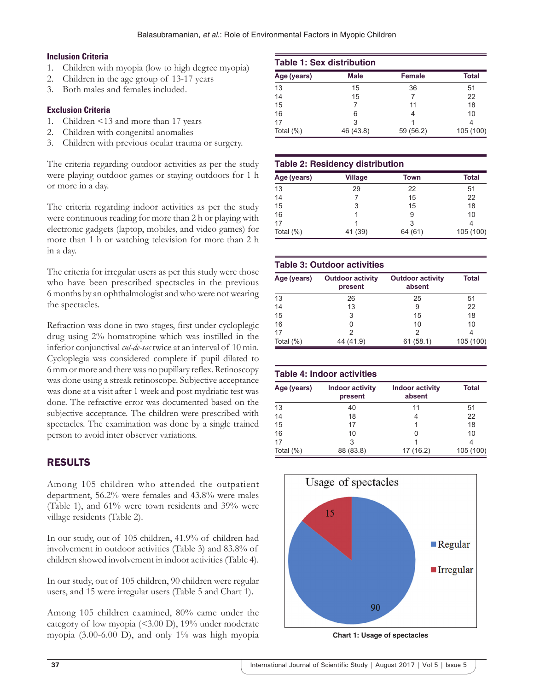## **Inclusion Criteria**

- 1. Children with myopia (low to high degree myopia)
- 2. Children in the age group of 13-17 years
- 3. Both males and females included.

## **Exclusion Criteria**

- 1. Children <13 and more than 17 years
- 2. Children with congenital anomalies
- 3. Children with previous ocular trauma or surgery.

The criteria regarding outdoor activities as per the study were playing outdoor games or staying outdoors for 1 h or more in a day.

The criteria regarding indoor activities as per the study were continuous reading for more than 2 h or playing with electronic gadgets (laptop, mobiles, and video games) for more than 1 h or watching television for more than 2 h in a day.

The criteria for irregular users as per this study were those who have been prescribed spectacles in the previous 6 months by an ophthalmologist and who were not wearing the spectacles.

Refraction was done in two stages, first under cycloplegic drug using 2% homatropine which was instilled in the inferior conjunctival *cul-de-sac* twice at an interval of 10 min. Cycloplegia was considered complete if pupil dilated to 6mm or more and there was no pupillary reflex. Retinoscopy was done using a streak retinoscope. Subjective acceptance was done at a visit after 1 week and post mydriatic test was done. The refractive error was documented based on the subjective acceptance. The children were prescribed with spectacles. The examination was done by a single trained person to avoid inter observer variations.

# RESULTS

Among 105 children who attended the outpatient department, 56.2% were females and 43.8% were males (Table 1), and 61% were town residents and 39% were village residents (Table 2).

In our study, out of 105 children, 41.9% of children had involvement in outdoor activities (Table 3) and 83.8% of children showed involvement in indoor activities (Table 4).

In our study, out of 105 children, 90 children were regular users, and 15 were irregular users (Table 5 and Chart 1).

Among 105 children examined, 80% came under the category of low myopia (<3.00 D), 19% under moderate myopia  $(3.00-6.00)$ , and only 1% was high myopia **Chart 1: Usage of spectacles** 

|              | <b>Table 1: Sex distribution</b> |           |              |  |  |  |
|--------------|----------------------------------|-----------|--------------|--|--|--|
| Age (years)  | <b>Male</b>                      | Female    | <b>Total</b> |  |  |  |
| 13           | 15                               | 36        | 51           |  |  |  |
| 14           | 15                               |           | 22           |  |  |  |
| 15           |                                  | 11        | 18           |  |  |  |
| 16           | 6                                |           | 10           |  |  |  |
| 17           | 3                                |           |              |  |  |  |
| Total $(\%)$ | 46 (43.8)                        | 59 (56.2) | 105 (100)    |  |  |  |

## **Table 2: Residency distribution**

| Age (years)  | <b>Village</b> | Town    | <b>Total</b> |
|--------------|----------------|---------|--------------|
| 13           | 29             | 22      | 51           |
| 14           |                | 15      | 22           |
| 15           | 3              | 15      | 18           |
| 16           |                | 9       | 10           |
| 17           |                | 3       |              |
| Total $(\%)$ | 41 (39)        | 64 (61) | 105 (100)    |

#### **Table 3: Outdoor activities**

| Age (years)  | <b>Outdoor activity</b><br>present | <b>Outdoor activity</b><br>absent | <b>Total</b> |
|--------------|------------------------------------|-----------------------------------|--------------|
| 13           | 26                                 | 25                                | 51           |
| 14           | 13                                 | 9                                 | 22           |
| 15           | 3                                  | 15                                | 18           |
| 16           | 0                                  | 10                                | 10           |
| 17           |                                    | 2                                 |              |
| Total $(\%)$ | 44 (41.9)                          | 61(58.1)                          | 105 (100)    |

|              | <b>Table 4: Indoor activities</b> |                                  |              |  |  |  |
|--------------|-----------------------------------|----------------------------------|--------------|--|--|--|
| Age (years)  | <b>Indoor activity</b><br>present | <b>Indoor activity</b><br>absent | <b>Total</b> |  |  |  |
| 13           | 40                                | 11                               | 51           |  |  |  |
| 14           | 18                                | 4                                | 22           |  |  |  |
| 15           | 17                                |                                  | 18           |  |  |  |
| 16           | 10                                | ი                                | 10           |  |  |  |
| 17           | 3                                 |                                  | 4            |  |  |  |
| Total $(\%)$ | 88 (83.8)                         | 17 (16.2)                        | 105 (100)    |  |  |  |

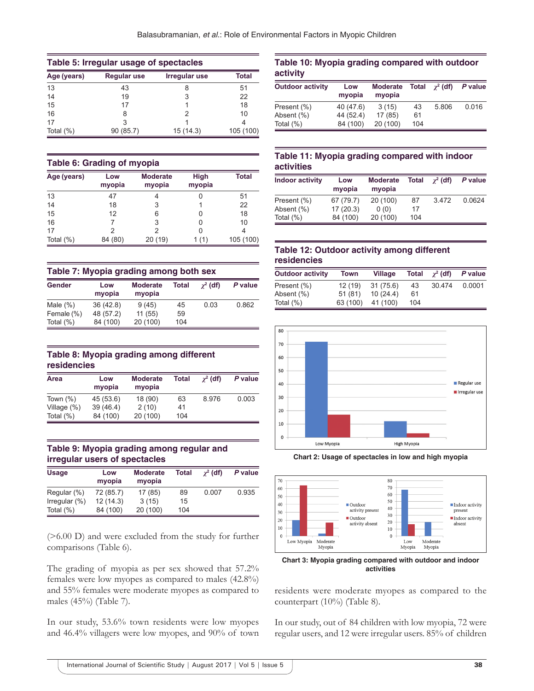| Table 5: Irregular usage of spectacles |                    |               |           |  |  |
|----------------------------------------|--------------------|---------------|-----------|--|--|
| Age (years)                            | <b>Regular use</b> | Irregular use | Total     |  |  |
| 13                                     | 43                 | 8             | 51        |  |  |
| 14                                     | 19                 | 3             | 22        |  |  |
| 15                                     | 17                 |               | 18        |  |  |
| 16                                     | 8                  |               | 10        |  |  |
| 17                                     |                    |               |           |  |  |
| Total $(\%)$                           | 90 (85.7)          | 15(14.3)      | 105 (100) |  |  |

#### **Table 6: Grading of myopia**

| Age (years)  | Low<br>myopia | <b>Moderate</b><br><b>High</b><br>myopia<br>myopia |      | <b>Total</b> |
|--------------|---------------|----------------------------------------------------|------|--------------|
| 13           | 47            | 4                                                  |      | 51           |
| 14           | 18            | 3                                                  |      | 22           |
| 15           | 12            | 6                                                  |      | 18           |
| 16           |               | 3                                                  | 0    | 10           |
| 17           | 2             | っ                                                  |      |              |
| Total $(\%)$ | 84 (80)       | 20(19)                                             | 1(1) | 105 (100)    |

| Table 7: Myopia grading among both sex |               |                           |       |                 |         |
|----------------------------------------|---------------|---------------------------|-------|-----------------|---------|
| Gender                                 | Low<br>myopia | <b>Moderate</b><br>myopia | Total | $\gamma^2$ (df) | P value |
| Male $(\%)$                            | 36(42.8)      | 9(45)                     | 45    | 0.03            | 0.862   |
| Female (%)                             | 48 (57.2)     | 11(55)                    | 59    |                 |         |
| Total $(\%)$                           | 84 (100)      | 20 (100)                  | 104   |                 |         |

#### **Table 8: Myopia grading among different residencies**

| Area           | Low<br>myopia | <b>Moderate</b><br>myopia | Total | $\gamma^2$ (df) | P value |
|----------------|---------------|---------------------------|-------|-----------------|---------|
| Town $(\%)$    | 45 (53.6)     | 18 (90)                   | 63    | 8.976           | 0.003   |
| Village $(\%)$ | 39(46.4)      | 2(10)                     | 41    |                 |         |
| Total $(\%)$   | 84 (100)      | 20 (100)                  | 104   |                 |         |

#### **Table 9: Myopia grading among regular and irregular users of spectacles**

| <b>Usage</b>     | Low<br>myopia | <b>Moderate</b><br>myopia | Total | $\gamma^2$ (df) | P value |
|------------------|---------------|---------------------------|-------|-----------------|---------|
| Regular (%)      | 72 (85.7)     | 17(85)                    | 89    | 0.007           | 0.935   |
| Irregular $(\%)$ | 12(14.3)      | 3(15)                     | 15    |                 |         |
| Total $(\%)$     | 84 (100)      | 20 (100)                  | 104   |                 |         |

(>6.00 D) and were excluded from the study for further comparisons (Table 6).

The grading of myopia as per sex showed that 57.2% females were low myopes as compared to males (42.8%) and 55% females were moderate myopes as compared to males (45%) (Table 7).

In our study, 53.6% town residents were low myopes and 46.4% villagers were low myopes, and 90% of town

## **Table 10: Myopia grading compared with outdoor activity**

| <b>Outdoor activity</b> | Low<br>myopia | <b>Moderate</b><br>myopia | <b>Total</b> | $\gamma^2$ (df) | P value |
|-------------------------|---------------|---------------------------|--------------|-----------------|---------|
| Present (%)             | 40 (47.6)     | 3(15)                     | 43           | 5.806           | 0.016   |
| Absent (%)              | 44 (52.4)     | 17 (85)                   | 61           |                 |         |
| Total $(\%)$            | 84 (100)      | 20 (100)                  | 104          |                 |         |

#### **Table 11: Myopia grading compared with indoor activities**

| <b>Indoor activity</b> | Low<br>myopia | <b>Moderate</b><br>myopia | <b>Total</b> | $\gamma^2$ (df) | P value |
|------------------------|---------------|---------------------------|--------------|-----------------|---------|
| Present (%)            | 67 (79.7)     | 20 (100)                  | 87           | 3472            | 0.0624  |
| Absent (%)             | 17(20.3)      | 0(0)                      | 17           |                 |         |
| Total $(\%)$           | 84 (100)      | 20 (100)                  | 104          |                 |         |

## **Table 12: Outdoor activity among different residencies**

| <b>Outdoor activity</b> | Town     | <b>Village</b> | Total | $\gamma^2$ (df) | P value |
|-------------------------|----------|----------------|-------|-----------------|---------|
| Present (%)             | 12(19)   | 31(75.6)       | 43    | 30.474          | 0.0001  |
| Absent (%)              | 51(81)   | 10(24.4)       | 61    |                 |         |
| Total $(\%)$            | 63 (100) | 41 (100)       | 104   |                 |         |



**Chart 2: Usage of spectacles in low and high myopia**



**Chart 3: Myopia grading compared with outdoor and indoor activities**

residents were moderate myopes as compared to the counterpart (10%) (Table 8).

In our study, out of 84 children with low myopia, 72 were regular users, and 12 were irregular users. 85% of children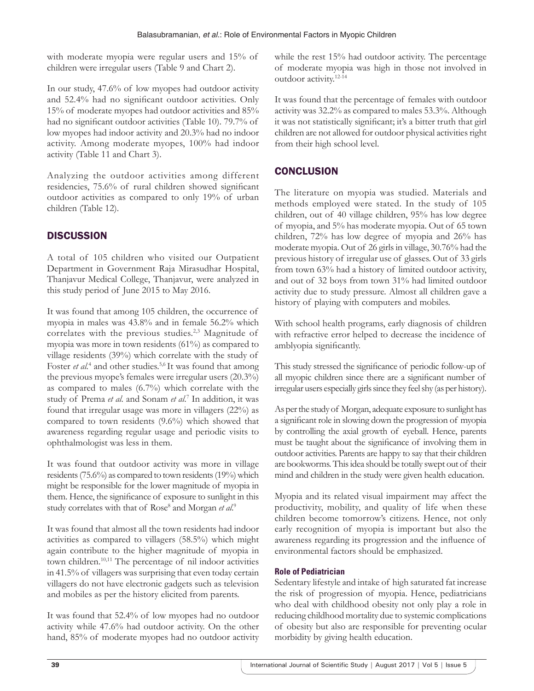with moderate myopia were regular users and 15% of children were irregular users (Table 9 and Chart 2).

In our study, 47.6% of low myopes had outdoor activity and 52.4% had no significant outdoor activities. Only 15% of moderate myopes had outdoor activities and 85% had no significant outdoor activities (Table 10). 79.7% of low myopes had indoor activity and 20.3% had no indoor activity. Among moderate myopes, 100% had indoor activity (Table 11 and Chart 3).

Analyzing the outdoor activities among different residencies, 75.6% of rural children showed significant outdoor activities as compared to only 19% of urban children (Table 12).

# **DISCUSSION**

A total of 105 children who visited our Outpatient Department in Government Raja Mirasudhar Hospital, Thanjavur Medical College, Thanjavur, were analyzed in this study period of June 2015 to May 2016.

It was found that among 105 children, the occurrence of myopia in males was 43.8% and in female 56.2% which correlates with the previous studies.<sup>2,3</sup> Magnitude of myopia was more in town residents (61%) as compared to village residents (39%) which correlate with the study of Foster *et al.*<sup>4</sup> and other studies.<sup>5,6</sup> It was found that among the previous myope's females were irregular users (20.3%) as compared to males (6.7%) which correlate with the study of Prema *et al.* and Sonam *et al*. 7 In addition, it was found that irregular usage was more in villagers (22%) as compared to town residents (9.6%) which showed that awareness regarding regular usage and periodic visits to ophthalmologist was less in them.

It was found that outdoor activity was more in village residents (75.6%) as compared to town residents (19%) which might be responsible for the lower magnitude of myopia in them. Hence, the significance of exposure to sunlight in this study correlates with that of Rose<sup>8</sup> and Morgan et al.<sup>9</sup>

It was found that almost all the town residents had indoor activities as compared to villagers (58.5%) which might again contribute to the higher magnitude of myopia in town children.10,11 The percentage of nil indoor activities in 41.5% of villagers was surprising that even today certain villagers do not have electronic gadgets such as television and mobiles as per the history elicited from parents.

It was found that 52.4% of low myopes had no outdoor activity while 47.6% had outdoor activity. On the other hand, 85% of moderate myopes had no outdoor activity while the rest 15% had outdoor activity. The percentage of moderate myopia was high in those not involved in outdoor activity.12-14

It was found that the percentage of females with outdoor activity was 32.2% as compared to males 53.3%. Although it was not statistically significant; it's a bitter truth that girl children are not allowed for outdoor physical activities right from their high school level.

# **CONCLUSION**

The literature on myopia was studied. Materials and methods employed were stated. In the study of 105 children, out of 40 village children, 95% has low degree of myopia, and 5% has moderate myopia. Out of 65 town children, 72% has low degree of myopia and 26% has moderate myopia. Out of 26 girls in village, 30.76% had the previous history of irregular use of glasses. Out of 33 girls from town 63% had a history of limited outdoor activity, and out of 32 boys from town 31% had limited outdoor activity due to study pressure. Almost all children gave a history of playing with computers and mobiles.

With school health programs, early diagnosis of children with refractive error helped to decrease the incidence of amblyopia significantly.

This study stressed the significance of periodic follow-up of all myopic children since there are a significant number of irregular users especially girls since they feel shy (as per history).

As per the study of Morgan, adequate exposure to sunlight has a significant role in slowing down the progression of myopia by controlling the axial growth of eyeball. Hence, parents must be taught about the significance of involving them in outdoor activities. Parents are happy to say that their children are bookworms. This idea should be totally swept out of their mind and children in the study were given health education.

Myopia and its related visual impairment may affect the productivity, mobility, and quality of life when these children become tomorrow's citizens. Hence, not only early recognition of myopia is important but also the awareness regarding its progression and the influence of environmental factors should be emphasized.

#### **Role of Pediatrician**

Sedentary lifestyle and intake of high saturated fat increase the risk of progression of myopia. Hence, pediatricians who deal with childhood obesity not only play a role in reducing childhood mortality due to systemic complications of obesity but also are responsible for preventing ocular morbidity by giving health education.